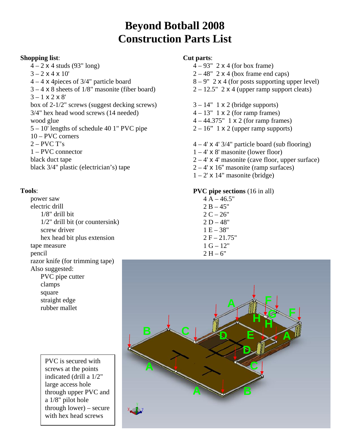### **Beyond Botball 2008 Construction Parts List**

#### **Shopping list**:

 $4 - 2 \times 4$  studs (93" long)  $3 - 2 \times 4 \times 10'$  4 – 4 x 4pieces of 3/4" particle board  $3 - 4 \times 8$  sheets of  $1/8$ " masonite (fiber board)  $3 - 1 \times 2 \times 8'$  box of 2-1/2" screws (suggest decking screws) 3/4" hex head wood screws (14 needed) wood glue 5 – 10' lengths of schedule 40 1" PVC pipe 10 – PVC corners  $2 - PVCT's$  1 – PVC connector black duct tape black 3/4" plastic (electrician's) tape

#### **Tools**:

 power saw electric drill 1/8" drill bit 1/2" drill bit (or countersink) screw driver hex head bit plus extension tape measure pencil razor knife (for trimming tape) Also suggested: PVC pipe cutter clamps square

> straight edge rubber mallet

> > PVC is secured with screws at the points indicated (drill a 1/2" large access hole through upper PVC and a 1/8" pilot hole through lower) – secure with hex head screws

### **Cut parts**:

- $4 93" 2 \times 4$  (for box frame)
- $2 48"$  2 x 4 (box frame end caps)
- $8 9"$  2 x 4 (for posts supporting upper level)
- $2 12.5"$  2 x 4 (upper ramp support cleats)
- $3 14"$  1 x 2 (bridge supports)
- $4 13" 1 \times 2$  (for ramp frames)
- 4 44.375" 1 x 2 (for ramp frames)
- $2 16$ " 1 x 2 (upper ramp supports)
- $4 4'$  x 4' 3/4" particle board (sub flooring)
- $1 4'$  x 8' masonite (lower floor)
- $2 4'$  x 4' masonite (cave floor, upper surface)
- $2 4'$  x 16" masonite (ramp surfaces)
- $1 2'$  x 14" masonite (bridge)

#### **PVC pipe sections** (16 in all)

 $4 A - 46.5"$  $2 B - 45"$  $2 C - 26"$  $2 D - 48"$  $1 E - 38"$  $2 F - 21.75"$  $1 G - 12"$  $2 H - 6"$ 

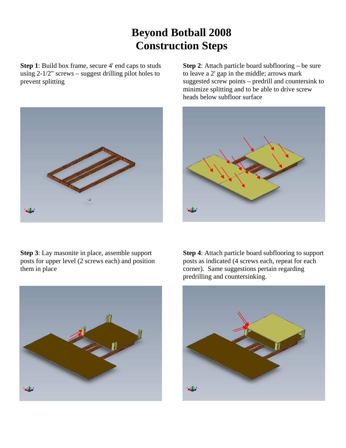# **Beyond Botball 2008 Construction Steps**

**Step 1**: Build box frame, secure 4' end caps to studs using  $2-1/2$ " screws – suggest drilling pilot holes to prevent splitting



**Step 3**: Lay masonite in place, assemble support posts for upper level (2 screws each) and position them in place



**Step 2:** Attach particle board subflooring – be sure to leave a 2' gap in the middle; arrows mark suggested screw points – predrill and countersink to minimize splitting and to be able to drive screw heads below subfloor surface



**Step 4**: Attach particle board subflooring to support posts as indicated (4 screws each, repeat for each corner). Same suggestions pertain regarding predrilling and countersinking.

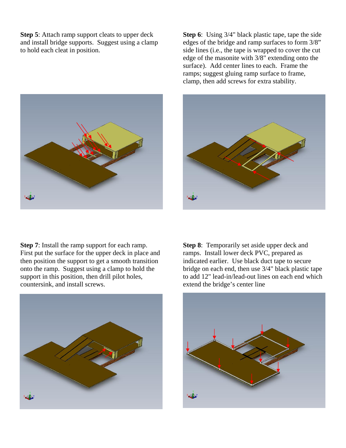**Step 5**: Attach ramp support cleats to upper deck and install bridge supports. Suggest using a clamp to hold each cleat in position.



**Step 6**: Using 3/4" black plastic tape, tape the side edges of the bridge and ramp surfaces to form 3/8" side lines (i.e., the tape is wrapped to cover the cut edge of the masonite with 3/8" extending onto the surface). Add center lines to each. Frame the ramps; suggest gluing ramp surface to frame, clamp, then add screws for extra stability.



**Step 7**: Install the ramp support for each ramp. First put the surface for the upper deck in place and then position the support to get a smooth transition onto the ramp. Suggest using a clamp to hold the support in this position, then drill pilot holes, countersink, and install screws.



**Step 8**: Temporarily set aside upper deck and ramps. Install lower deck PVC, prepared as indicated earlier. Use black duct tape to secure bridge on each end, then use 3/4" black plastic tape to add 12" lead-in/lead-out lines on each end which extend the bridge's center line

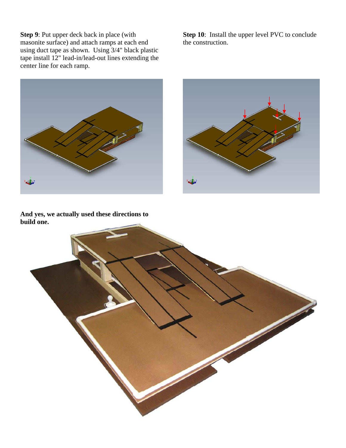**Step 9**: Put upper deck back in place (with masonite surface) and attach ramps at each end using duct tape as shown. Using 3/4" black plastic tape install 12" lead-in/lead-out lines extending the center line for each ramp.

**Step 10**: Install the upper level PVC to conclude the construction.





**And yes, we actually used these directions to build one.**

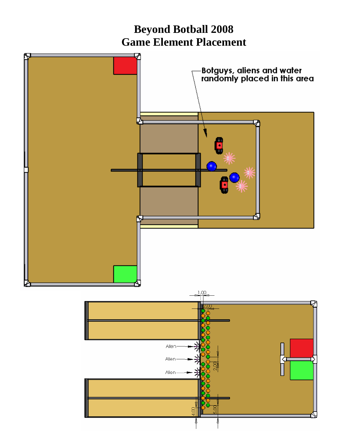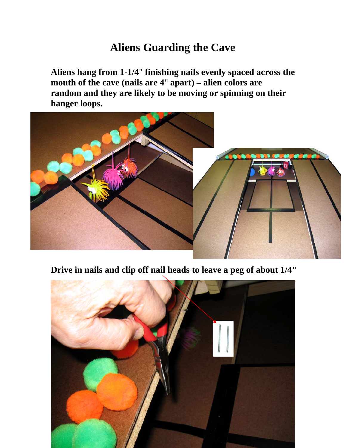## **Aliens Guarding the Cave**

**Aliens hang from 1-1/4**" **finishing nails evenly spaced across the mouth of the cave (nails are 4**" **apart) – alien colors are random and they are likely to be moving or spinning on their hanger loops.** 



**Drive in nails and clip off nail heads to leave a peg of about 1/4"**